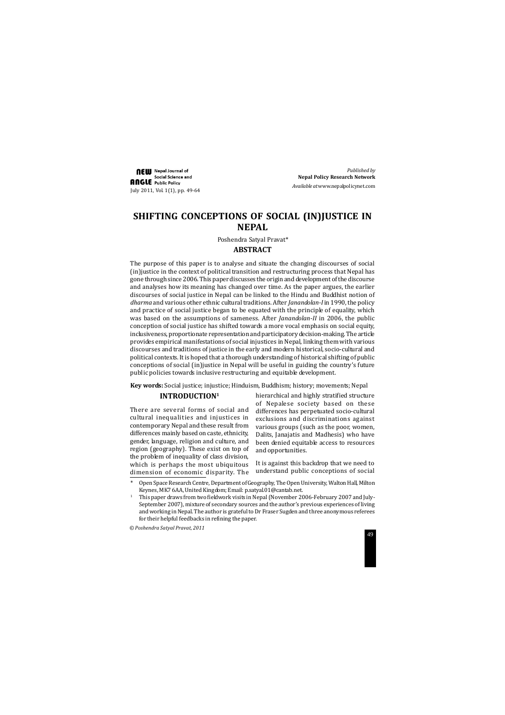# **SHIFTING CONCEPTIONS OF SOCIAL (IN)JUSTICE IN NEPAL**

## **ABSTRACT**

The purpose of this paper is to analyse and situate the changing discourses of social (in)justice in the context of political transition and restructuring process that Nepal has gone through since 2006. This paper discusses the origin and development of the discourse and analyses how its meaning has changed over time. As the paper argues, the earlier discourses of social justice in Nepal can be linked to the Hindu and Buddhist notion of *dharma* and various other ethnic cultural traditions. After *Janandolan-I* in 1990, the policy and practice of social justice began to be equated with the principle of equality, which was based on the assumptions of sameness. After *Janandolan-II* in 2006, the public conception of social justice has shifted towards a more vocal emphasis on social equity, inclusiveness, proportionate representation and participatory decision-making. The article provides empirical manifestations of social injustices in Nepal, linking them with various discourses and traditions of justice in the early and modern historical, socio-cultural and political contexts. It is hoped that a thorough understanding of historical shifting of public conceptions of social (in)justice in Nepal will be useful in guiding the country's future public policies towards inclusive restructuring and equitable development.

**NEW** Nepal Journal of Social Science and **ANGLE** Public Policy July 2011, Vol. 1(1), pp. 49-64

**Key words:** Social justice; injustice; Hinduism, Buddhism; history; movements; Nepal

Poshendra Satyal Pravat\*

## **INTRODUCTION1**

There are several forms of social and cultural inequalities and injustices in contemporary Nepal and these result from differences mainly based on caste, ethnicity, gender, language, religion and culture, and region (geography). These exist on top of the problem of inequality of class division, which is perhaps the most ubiquitous dimension of economic disparity. The hierarchical and highly stratified structure of Nepalese society based on these differences has perpetuated socio-cultural exclusions and discriminations against various groups (such as the poor, women, Dalits, Janajatis and Madhesis) who have been denied equitable access to resources and opportunities.

It is against this backdrop that we need to understand public conceptions of social

Open Space Research Centre, Department of Geography, The Open University, Walton Hall, Milton Keynes, MK7 6AA, United Kingdom; Email: p.satyal.01@cantab.net.

*Published by* **Nepal Policy Research Network** *Available at* www.nepalpolicynet.com

<sup>1</sup> This paper draws from two fieldwork visits in Nepal (November 2006-February 2007 and July-September 2007), mixture of secondary sources and the author's previous experiences of living and working in Nepal. The author is grateful to Dr Fraser Sugden and three anonymous referees for their helpful feedbacks in refining the paper.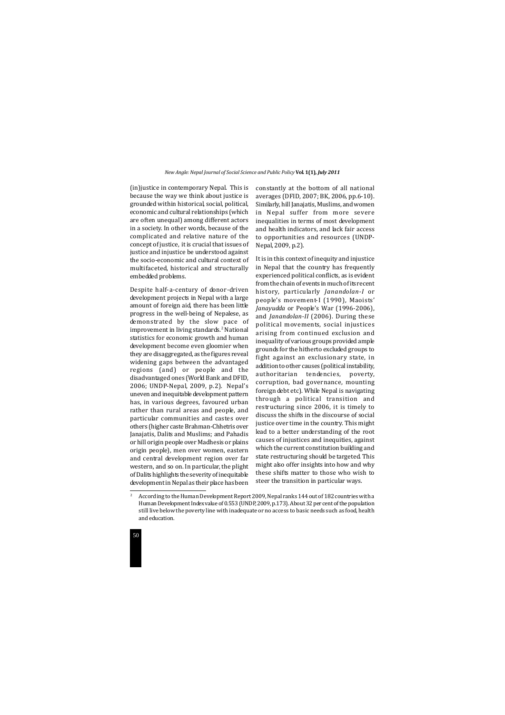

(in)justice in contemporary Nepal. This is because the way we think about justice is grounded within historical, social, political, economic and cultural relationships (which are often unequal) among different actors in a society. In other words, because of the complicated and relative nature of the concept of justice, it is crucial that issues of justice and injustice be understood against the socio-economic and cultural context of multifaceted, historical and structurally embedded problems.

Despite half-a-century of donor-driven development projects in Nepal with a large amount of foreign aid, there has been little progress in the well-being of Nepalese, as demonstrated by the slow pace of improvement in living standards.<sup>2</sup> National statistics for economic growth and human development become even gloomier when they are disaggregated, as the figures reveal widening gaps between the advantaged regions (and) or people and the disadvantaged ones (World Bank and DFID, 2006; UNDP-Nepal, 2009, p.2). Nepal's uneven and inequitable development pattern has, in various degrees, favoured urban rather than rural areas and people, and particular communities and castes over others (higher caste Brahman-Chhetris over Janajatis, Dalits and Muslims; and Pahadis or hill origin people over Madhesis or plains origin people), men over women, eastern and central development region over far western, and so on. In particular, the plight of Dalits highlights the severity of inequitable development in Nepal as their place has been constantly at the bottom of all national averages (DFID, 2007; BK, 2006, pp.6-10). Similarly, hill Janajatis, Muslims, and women in Nepal suffer from more severe inequalities in terms of most development and health indicators, and lack fair access to opportunities and resources (UNDP-Nepal, 2009, p.2).

It is in this context of inequity and injustice in Nepal that the country has frequently experienced political conflicts, as is evident from the chain of events in much of its recent history, particularly *Janandolan-I* or people's movement-I (1990), Maoists' *Janayudda* or People's War (1996-2006), and *Janandolan-II* (2006). During these political movements, social injustices arising from continued exclusion and inequality of various groups provided ample grounds for the hitherto excluded groups to fight against an exclusionary state, in addition to other causes (political instability, authoritarian tendencies, poverty, corruption, bad governance, mounting foreign debt etc). While Nepal is navigating through a political transition and restructuring since 2006, it is timely to discuss the shifts in the discourse of social justice over time in the country. This might lead to a better understanding of the root causes of injustices and inequities, against which the current constitution building and state restructuring should be targeted. This might also offer insights into how and why these shifts matter to those who wish to steer the transition in particular ways.

<sup>&</sup>lt;sup>2</sup> According to the Human Development Report 2009, Nepal ranks 144 out of 182 countries with a Human Development Index value of 0.553 (UNDP, 2009, p.173). About 32 per cent of the population still live below the poverty line with inadequate or no access to basic needs such as food, health and education.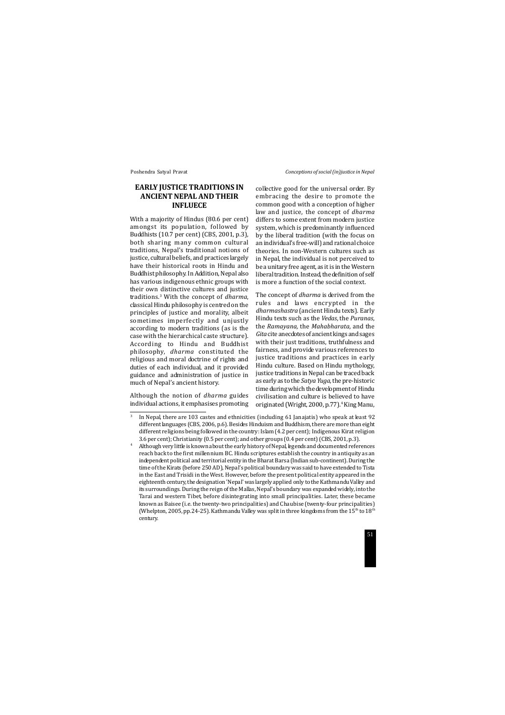## **EARLY JUSTICE TRADITIONS IN ANCIENT NEPAL AND THEIR INFLUECE**

With a majority of Hindus (80.6 per cent) amongst its population, followed by Buddhists (10.7 per cent) (CBS, 2001, p.3), both sharing many common cultural traditions, Nepal's traditional notions of justice, cultural beliefs, and practices largely have their historical roots in Hindu and Buddhist philosophy. In Addition, Nepal also has various indigenous ethnic groups with their own distinctive cultures and justice traditions.3 With the concept of *dharma*, classical Hindu philosophy is centred on the principles of justice and morality, albeit sometimes imperfectly and unjustly according to modern traditions (as is the case with the hierarchical caste structure). According to Hindu and Buddhist philosophy, *dharma* constituted the religious and moral doctrine of rights and duties of each individual, and it provided guidance and administration of justice in much of Nepal's ancient history.

The concept of *dharma* is derived from the rules and laws encrypted in the *dharmashastra* (ancient Hindu texts). Early Hindu texts such as the *Vedas*, the *Puranas*, the *Ramayana,* the *Mahabharata*, and the *Gita* cite anecdotes of ancient kings and sages with their just traditions, truthfulness and fairness, and provide various references to justice traditions and practices in early Hindu culture. Based on Hindu mythology, justice traditions in Nepal can be traced back as early as to the *Satya Yuga*, the pre-historic time during which the development of Hindu civilisation and culture is believed to have originated (Wright, 2000, p.77).<sup>4</sup> King Manu,

Although the notion of *dharma* guides individual actions, it emphasises promoting collective good for the universal order. By embracing the desire to promote the common good with a conception of higher law and justice, the concept of *dharma* differs to some extent from modern justice system, which is predominantly influenced by the liberal tradition (with the focus on an individual's free-will) and rational choice theories. In non-Western cultures such as in Nepal, the individual is not perceived to be a unitary free agent, as it is in the Western liberal tradition. Instead, the definition of self is more a function of the social context.

<sup>&</sup>lt;sup>3</sup> In Nepal, there are 103 castes and ethnicities (including 61 Janajatis) who speak at least 92 different languages (CBS, 2006, p.6). Besides Hinduism and Buddhism, there are more than eight different religions being followed in the country: Islam (4.2 per cent); Indigenous Kirat religion 3.6 per cent); Christianity (0.5 per cent); and other groups (0.4 per cent) (CBS, 2001, p.3).

Although very little is known about the early history of Nepal, legends and documented references reach back to the first millennium BC. Hindu scriptures establish the country in antiquity as an independent political and territorial entity in the Bharat Barsa (Indian sub-continent). During the time of the Kirats (before 250 AD), Nepal's political boundary was said to have extended to Tista in the East and Trisidi in the West. However, before the present political entity appeared in the eighteenth century, the designation 'Nepal' was largely applied only to the Kathmandu Valley and its surroundings. During the reign of the Mallas, Nepal's boundary was expanded widely, into the Tarai and western Tibet, before disintegrating into small principalities. Later, these became known as Baisee (i.e. the twenty-two principalities) and Chaubise (twenty-four principalities) (Whelpton, 2005, pp.24-25). Kathmandu Valley was split in three kingdoms from the  $15<sup>th</sup>$  to  $18<sup>th</sup>$ century.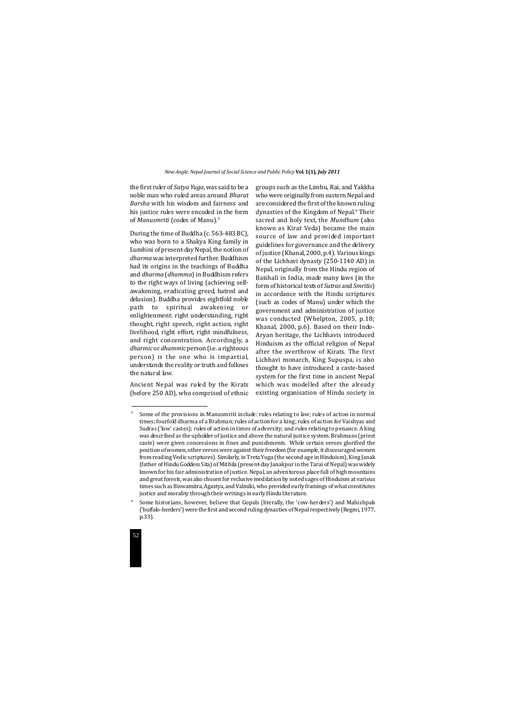

the first ruler of *Satya Yuga*, was said to be a noble man who ruled areas around *Bharat Barsha* with his wisdom and fairness and his justice rules were encoded in the form of *Manusmriti* (codes of Manu).5

During the time of Buddha (c. 563-483 BC), who was born to a Shakya King family in Lumbini of present-day Nepal, the notion of *dharma* was interpreted further. Buddhism had its origins in the teachings of Buddha and *dharma* (*dhamma*) in Buddhism refers to the right ways of living (achieving selfawakening, eradicating greed, hatred and delusion). Buddha provides eightfold noble path to spiritual awakening or enlightenment: right understanding, right thought, right speech, right action, right livelihood, right effort, right mindfulness, and right concentration. Accordingly, a *dharmic* or *dhammic* person (i.e. a righteous person) is the one who is impartial, understands the reality or truth and follows the natural law.

Ancient Nepal was ruled by the Kirats (before 250 AD), who comprised of ethnic groups such as the Limbu, Rai, and Yakkha who were originally from eastern Nepal and are considered the first of the known ruling dynasties of the Kingdom of Nepal.<sup>6</sup> Their sacred and holy text, the *Mundhum* (also known as Kirat Veda) became the main source of law and provided important guidelines for governance and the delivery of justice (Khanal, 2000, p.4). Various kings of the Lichhavi dynasty (250-1140 AD) in Nepal, originally from the Hindu region of Baishali in India, made many laws (in the form of historical texts of *Sutras* and *Smritis*) in accordance with the Hindu scriptures (such as codes of Manu) under which the government and administration of justice was conducted (Whelpton, 2005, p.18; Khanal, 2000, p.6). Based on their Indo-Aryan heritage, the Lichhavis introduced Hinduism as the official religion of Nepal after the overthrow of Kirats. The first Lichhavi monarch, King Supuspa, is also thought to have introduced a caste-based system for the first time in ancient Nepal which was modelled after the already existing organisation of Hindu society in

<sup>&</sup>lt;sup>5</sup> Some of the provisions in Manusmriti include: rules relating to law; rules of action in normal times; fourfold dharma of a Brahman; rules of action for a king; rules of action for Vaishyas and Sudras ('low' castes); rules of action in times of adversity; and rules relating to penance. A king was described as the upholder of justice and above the natural justice system. Brahmans (priest caste) were given concessions in fines and punishments. While certain verses glorified the position of women, other verses were against their freedom (for example, it discouraged women from reading Vedic scriptures). Similarly, in Treta Yuga (the second age in Hinduism), King Janak (father of Hindu Goddess Sita) of Mithila (present-day Janakpur in the Tarai of Nepal) was widely known for his fair administration of justice. Nepal, an adventurous place full of high mountains and great forests, was also chosen for reclusive meditation by noted sages of Hinduism at various times such as Biswamitra, Agastya, and Valmiki, who provided early framings of what constitutes justice and morality through their writings in early Hindu literature.

<sup>6</sup> Some historians, however, believe that Gopals (literally, the 'cow-herders') and Mahishpals ('buffalo-herders') were the first and second ruling dynasties of Nepal respectively (Regmi, 1977, p.33).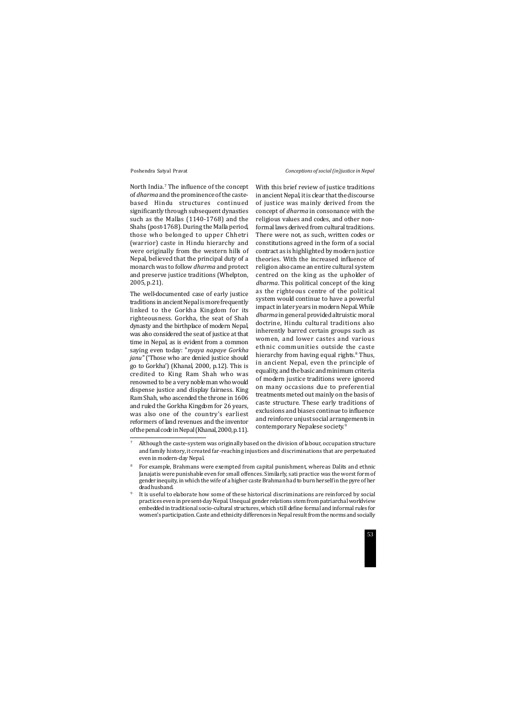North India.<sup>7</sup> The influence of the concept of *dharma* and the prominence of the castebased Hindu structures continued significantly through subsequent dynasties such as the Mallas (1140-1768) and the Shahs (post-1768). During the Malla period, those who belonged to upper Chhetri (warrior) caste in Hindu hierarchy and were originally from the western hills of Nepal, believed that the principal duty of a monarch was to follow *dharma* and protect and preserve justice traditions (Whelpton, 2005, p.21).

The well-documented case of early justice traditions in ancient Nepal is more frequently linked to the Gorkha Kingdom for its righteousness. Gorkha, the seat of Shah dynasty and the birthplace of modern Nepal, was also considered the seat of justice at that time in Nepal, as is evident from a common saying even today: "*nyaya napaye Gorkha janu"* ('Those who are denied justice should go to Gorkha') (Khanal, 2000, p.12). This is credited to King Ram Shah who was renowned to be a very noble man who would dispense justice and display fairness. King Ram Shah, who ascended the throne in 1606 and ruled the Gorkha Kingdom for 26 years, was also one of the country's earliest reformers of land revenues and the inventor of the penal code in Nepal (Khanal, 2000, p.11). With this brief review of justice traditions in ancient Nepal, it is clear that the discourse of justice was mainly derived from the concept of *dharma* in consonance with the religious values and codes, and other nonformal laws derived from cultural traditions. There were not, as such, written codes or constitutions agreed in the form of a social contract as is highlighted by modern justice theories. With the increased influence of religion also came an entire cultural system centred on the king as the upholder of *dharma*. This political concept of the king as the righteous centre of the political system would continue to have a powerful impact in later years in modern Nepal. While *dharma* in general provided altruistic moral doctrine, Hindu cultural traditions also inherently barred certain groups such as women, and lower castes and various ethnic communities outside the caste hierarchy from having equal rights.<sup>8</sup> Thus, in ancient Nepal, even the principle of equality, and the basic and minimum criteria of modern justice traditions were ignored on many occasions due to preferential treatments meted out mainly on the basis of caste structure. These early traditions of exclusions and biases continue to influence and reinforce unjust social arrangements in contemporary Nepalese society.9

Although the caste-system was originally based on the division of labour, occupation structure and family history, it created far-reaching injustices and discriminations that are perpetuated even in modern-day Nepal.

It is useful to elaborate how some of these historical discriminations are reinforced by social practices even in present-day Nepal. Unequal gender relations stem from patriarchal worldview embedded in traditional socio-cultural structures, which still define formal and informal rules for women's participation. Caste and ethnicity differences in Nepal result from the norms and socially

<sup>8</sup> For example, Brahmans were exempted from capital punishment, whereas Dalits and ethnic Janajatis were punishable even for small offences. Similarly, sati practice was the worst form of gender inequity, in which the wife of a higher caste Brahman had to burn herself in the pyre of her dead husband.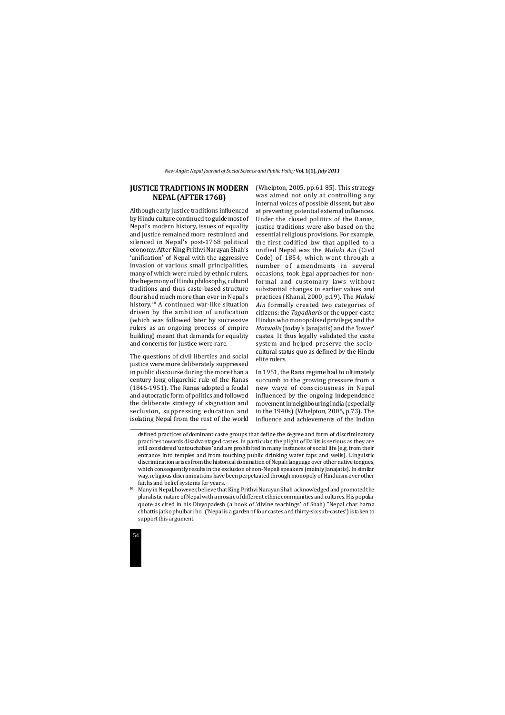

## **JUSTICE TRADITIONS IN MODERN NEPAL (AFTER 1768)**

Although early justice traditions influenced by Hindu culture continued to guide most of Nepal's modern history, issues of equality and justice remained more restrained and silenced in Nepal's post-1768 political economy. After King Prithvi Narayan Shah's 'unification' of Nepal with the aggressive invasion of various small principalities, many of which were ruled by ethnic rulers, the hegemony of Hindu philosophy, cultural traditions and thus caste-based structure flourished much more than ever in Nepal's history.10 A continued war-like situation driven by the ambition of unification (which was followed later by successive rulers as an ongoing process of empire building) meant that demands for equality and concerns for justice were rare.

The questions of civil liberties and social justice were more deliberately suppressed in public discourse during the more than a century long oligarchic rule of the Ranas (1846-1951). The Ranas adopted a feudal and autocratic form of politics and followed the deliberate strategy of stagnation and seclusion, suppressing education and isolating Nepal from the rest of the world (Whelpton, 2005, pp.61-85). This strategy was aimed not only at controlling any internal voices of possible dissent, but also at preventing potential external influences. Under the closed politics of the Ranas, justice traditions were also based on the essential religious provisions. For example, the first codified law that applied to a unified Nepal was the *Muluki Ain* (Civil Code) of 1854, which went through a number of amendments in several occasions, took legal approaches for nonformal and customary laws without substantial changes in earlier values and practices (Khanal, 2000, p.19). The *Muluki Ain* formally created two categories of citizens: the *Tagadharis* or the upper-caste Hindus who monopolised privilege; and the *Matwalis* (today's Janajatis) and the 'lower' castes. It thus legally validated the caste system and helped preserve the sociocultural status quo as defined by the Hindu elite rulers.

In 1951, the Rana regime had to ultimately succumb to the growing pressure from a new wave of consciousness in Nepal influenced by the ongoing independence movement in neighbouring India (especially in the 1940s) (Whelpton, 2005, p.73). The influence and achievements of the Indian

<sup>&</sup>lt;sup>10</sup> Many in Nepal, however, believe that King Prithvi Narayan Shah acknowledged and promoted the pluralistic nature of Nepal with a mosaic of different ethnic communities and cultures. His popular quote as cited in his Divyopadesh (a book of 'divine teachings' of Shah) "Nepal char barna chhattis jatko phulbari ho" ('Nepal is a garden of four castes and thirty-six sub-castes') is taken to support this argument.

defined practices of dominant caste groups that define the degree and form of discriminatory practices towards disadvantaged castes. In particular, the plight of Dalits is serious as they are still considered 'untouchables' and are prohibited in many instances of social life (e.g. from their entrance into temples and from touching public drinking water taps and wells). Linguistic discrimination arises from the historical domination of Nepali language over other native tongues, which consequently results in the exclusion of non-Nepali speakers (mainly Janajatis). In similar way, religious discriminations have been perpetuated through monopoly of Hinduism over other faiths and belief systems for years.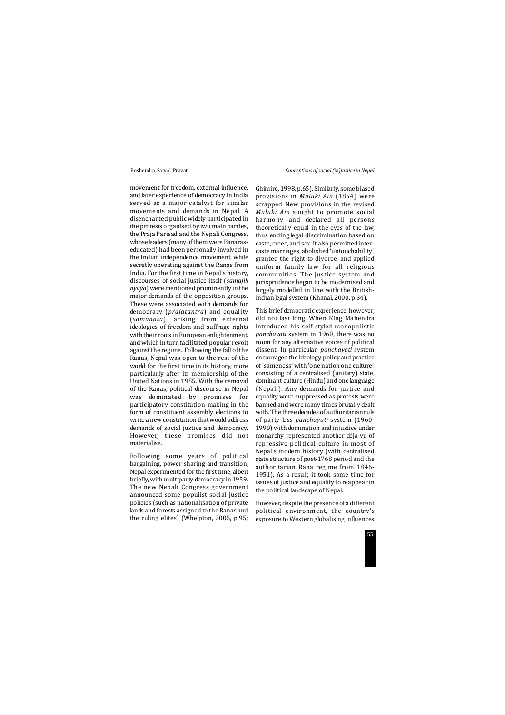movement for freedom, external influence, and later experience of democracy in India served as a major catalyst for similar movements and demands in Nepal. A disenchanted public widely participated in the protests organised by two main parties, the Praja Parisad and the Nepali Congress, whose leaders (many of them were Banaraseducated) had been personally involved in the Indian independence movement, while secretly operating against the Ranas from India. For the first time in Nepal's history, discourses of social justice itself (*samajik nyaya*) were mentioned prominently in the major demands of the opposition groups. These were associated with demands for democracy (*prajatantra*) and equality (*samanata*), arising from external ideologies of freedom and suffrage rights with their roots in European enlightenment, and which in turn facilitated popular revolt against the regime. Following the fall of the Ranas, Nepal was open to the rest of the world for the first time in its history, more particularly after its membership of the United Nations in 1955. With the removal of the Ranas, political discourse in Nepal was dominated by promises for participatory constitution-making in the form of constituent assembly elections to write a new constitution that would address demands of social justice and democracy. However, these promises did not materialise.

Following some years of political bargaining, power-sharing and transition, Nepal experimented for the first time, albeit briefly, with multiparty democracy in 1959. The new Nepali Congress government announced some populist social justice policies (such as nationalisation of private lands and forests assigned to the Ranas and the ruling elites) (Whelpton, 2005, p.95;

Ghimire, 1998, p.65). Similarly, some biased provisions in *Muluki Ain* (1854) were scrapped. New provisions in the revised *Muluki Ain* sought to promote social harmony and declared all persons theoretically equal in the eyes of the law, thus ending legal discrimination based on caste, creed, and sex. It also permitted intercaste marriages, abolished 'untouchability', granted the right to divorce, and applied uniform family law for all religious communities. The justice system and jurisprudence began to be modernised and largely modelled in line with the British-Indian legal system (Khanal, 2000, p.34).

This brief democratic experience, however, did not last long. When King Mahendra introduced his self-styled monopolistic *panchayati* system in 1960, there was no room for any alternative voices of political dissent. In particular, *panchayati* system encouraged the ideology, policy and practice of 'sameness' with 'one nation one culture', consisting of a centralised (unitary) state, dominant culture (Hindu) and one language (Nepali). Any demands for justice and equality were suppressed as protests were banned and were many times brutally dealt with. The three decades of authoritarian rule of party-less *panchayati* system (1960- 1990) with domination and injustice under monarchy represented another déjà vu of repressive political culture in most of Nepal's modern history (with centralised state structure of post-1768 period and the authoritarian Rana regime from 1846- 1951). As a result, it took some time for issues of justice and equality to reappear in the political landscape of Nepal.

However, despite the presence of a different political environment, the country's exposure to Western globalising influences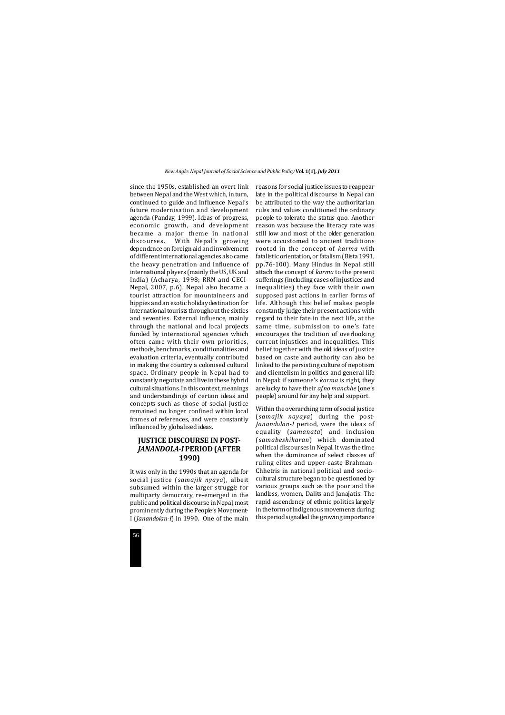

since the 1950s, established an overt link between Nepal and the West which, in turn, continued to guide and influence Nepal's future modernisation and development agenda (Panday, 1999). Ideas of progress, economic growth, and development became a major theme in national discourses. With Nepal's growing dependence on foreign aid and involvement of different international agencies also came the heavy penetration and influence of international players (mainly the US, UK and India) (Acharya, 1998; RRN and CECI-Nepal, 2007, p.6). Nepal also became a tourist attraction for mountaineers and hippies and an exotic holiday destination for international tourists throughout the sixties and seventies. External influence, mainly through the national and local projects funded by international agencies which often came with their own priorities, methods, benchmarks, conditionalities and evaluation criteria, eventually contributed in making the country a colonised cultural space. Ordinary people in Nepal had to constantly negotiate and live in these hybrid cultural situations. In this context, meanings and understandings of certain ideas and concepts such as those of social justice remained no longer confined within local frames of references, and were constantly influenced by globalised ideas.

## **JUSTICE DISCOURSE IN POST-***JANANDOLA-I* **PERIOD (AFTER 1990)**

It was only in the 1990s that an agenda for social justice (*samajik nyaya*), albeit subsumed within the larger struggle for multiparty democracy, re-emerged in the public and political discourse in Nepal, most prominently during the People's Movement-I (*Janandolan-I*) in 1990. One of the main reasons for social justice issues to reappear late in the political discourse in Nepal can be attributed to the way the authoritarian rules and values conditioned the ordinary people to tolerate the status quo. Another reason was because the literacy rate was still low and most of the older generation were accustomed to ancient traditions rooted in the concept of *karma* with fatalistic orientation, or fatalism (Bista 1991, pp.76-100). Many Hindus in Nepal still attach the concept of *karma* to the present sufferings (including cases of injustices and inequalities) they face with their own supposed past actions in earlier forms of life. Although this belief makes people constantly judge their present actions with regard to their fate in the next life, at the same time, submission to one's fate encourages the tradition of overlooking current injustices and inequalities. This belief together with the old ideas of justice based on caste and authority can also be linked to the persisting culture of nepotism and clientelism in politics and general life in Nepal: if someone's *karma* is right, they are lucky to have their *afno manchhe* (one's people) around for any help and support.

Within the overarching term of social justice (*samajik nayaya*) during the post-*Janandolan-I* period, were the ideas of equality (*samanata*) and inclusion (*samabeshikaran*) which dominated political discourses in Nepal. It was the time when the dominance of select classes of ruling elites and upper-caste Brahman-Chhetris in national political and sociocultural structure began to be questioned by various groups such as the poor and the landless, women, Dalits and Janajatis. The rapid ascendency of ethnic politics largely in the form of indigenous movements during this period signalled the growing importance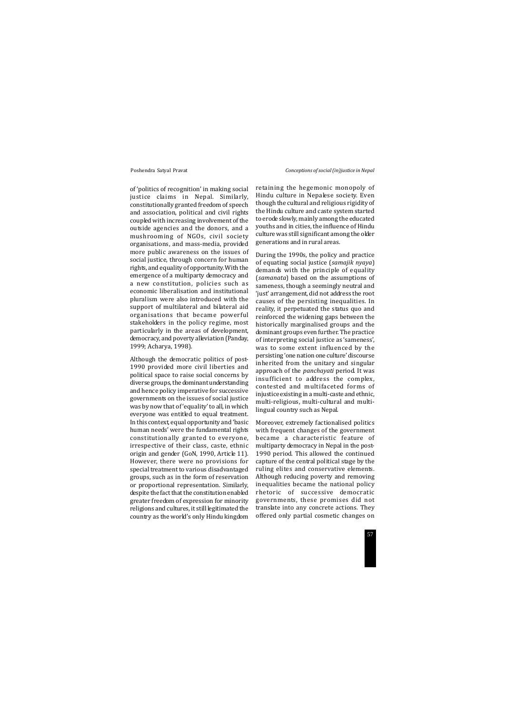of 'politics of recognition' in making social justice claims in Nepal. Similarly, constitutionally granted freedom of speech and association, political and civil rights coupled with increasing involvement of the outside agencies and the donors, and a mushrooming of NGOs, civil society organisations, and mass-media, provided more public awareness on the issues of social justice, through concern for human rights, and equality of opportunity.With the emergence of a multiparty democracy and a new constitution, policies such as economic liberalisation and institutional pluralism were also introduced with the support of multilateral and bilateral aid organisations that became powerful stakeholders in the policy regime, most particularly in the areas of development, democracy, and poverty alleviation (Panday, 1999; Acharya, 1998).

Although the democratic politics of post-1990 provided more civil liberties and political space to raise social concerns by diverse groups, the dominant understanding and hence policy imperative for successive governments on the issues of social justice was by now that of 'equality' to all, in which everyone was entitled to equal treatment. In this context, equal opportunity and 'basic human needs' were the fundamental rights constitutionally granted to everyone, irrespective of their class, caste, ethnic origin and gender (GoN, 1990, Article 11). However, there were no provisions for special treatment to various disadvantaged groups, such as in the form of reservation or proportional representation. Similarly, despite the fact that the constitution enabled greater freedom of expression for minority religions and cultures, it still legitimated the country as the world's only Hindu kingdom

retaining the hegemonic monopoly of Hindu culture in Nepalese society. Even though the cultural and religious rigidity of the Hindu culture and caste system started to erode slowly, mainly among the educated youths and in cities, the influence of Hindu culture was still significant among the older generations and in rural areas.

During the 1990s, the policy and practice of equating social justice (*samajik nyaya*) demands with the principle of equality (*samanata*) based on the assumptions of sameness, though a seemingly neutral and 'just' arrangement, did not address the root causes of the persisting inequalities. In reality, it perpetuated the status quo and reinforced the widening gaps between the historically marginalised groups and the dominant groups even further. The practice of interpreting social justice as 'sameness', was to some extent influenced by the persisting 'one nation one culture' discourse inherited from the unitary and singular approach of the *panchayati* period. It was insufficient to address the complex, contested and multifaceted forms of injustice existing in a multi-caste and ethnic, multi-religious, multi-cultural and multilingual country such as Nepal.

Moreover, extremely factionalised politics with frequent changes of the government became a characteristic feature of multiparty democracy in Nepal in the post-1990 period. This allowed the continued capture of the central political stage by the ruling elites and conservative elements. Although reducing poverty and removing inequalities became the national policy rhetoric of successive democratic governments, these promises did not translate into any concrete actions. They offered only partial cosmetic changes on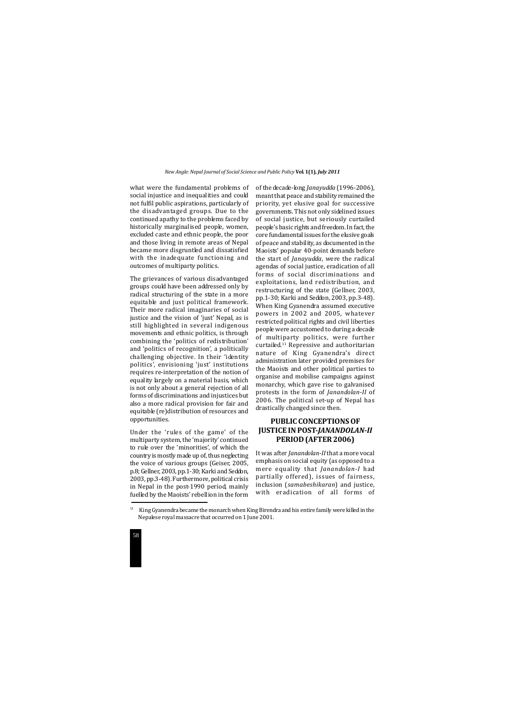

what were the fundamental problems of social injustice and inequalities and could not fulfil public aspirations, particularly of the disadvantaged groups. Due to the continued apathy to the problems faced by historically marginalised people, women, excluded caste and ethnic people, the poor and those living in remote areas of Nepal became more disgruntled and dissatisfied with the inadequate functioning and outcomes of multiparty politics.

The grievances of various disadvantaged groups could have been addressed only by radical structuring of the state in a more equitable and just political framework. Their more radical imaginaries of social justice and the vision of 'just' Nepal, as is still highlighted in several indigenous movements and ethnic politics, is through combining the 'politics of redistribution' and 'politics of recognition', a politically challenging objective. In their 'identity politics', envisioning 'just' institutions requires re-interpretation of the notion of equality largely on a material basis, which is not only about a general rejection of all forms of discriminations and injustices but also a more radical provision for fair and equitable (re)distribution of resources and opportunities.

Under the 'rules of the game' of the multiparty system, the 'majority' continued to rule over the 'minorities', of which the country is mostly made up of, thus neglecting the voice of various groups (Geiser, 2005, p.8; Gellner, 2003, pp.1-30; Karki and Seddon, 2003, pp.3-48). Furthermore, political crisis in Nepal in the post-1990 period, mainly fuelled by the Maoists' rebellion in the form of the decade-long *Janayudda* (1996-2006), meant that peace and stability remained the priority, yet elusive goal for successive governments. This not only sidelined issues of social justice, but seriously curtailed people's basic rights and freedom. In fact, the core fundamental issues for the elusive goals of peace and stability, as documented in the Maoists' popular 40-point demands before the start of *Janayudda*, were the radical agendas of social justice, eradication of all forms of social discriminations and exploitations, land redistribution, and restructuring of the state (Gellner, 2003, pp.1-30; Karki and Seddon, 2003, pp.3-48). When King Gyanendra assumed executive powers in 2002 and 2005, whatever restricted political rights and civil liberties people were accustomed to during a decade of multiparty politics, were further curtailed.11 Repressive and authoritarian nature of King Gyanendra's direct administration later provided premises for the Maoists and other political parties to organise and mobilise campaigns against monarchy, which gave rise to galvanised protests in the form of *Janandolan-II* of 2006. The political set-up of Nepal has drastically changed since then.

## **PUBLIC CONCEPTIONS OF JUSTICE IN POST-***JANANDOLAN-II* **PERIOD (AFTER 2006)**

It was after *Janandolan-II* that a more vocal emphasis on social equity (as opposed to a mere equality that *Janandolan-I* had partially offered), issues of fairness, inclusion (*samabeshikaran*) and justice, with eradication of all forms of

<sup>&</sup>lt;sup>11</sup> King Gyanendra became the monarch when King Birendra and his entire family were killed in the Nepalese royal massacre that occurred on 1 June 2001.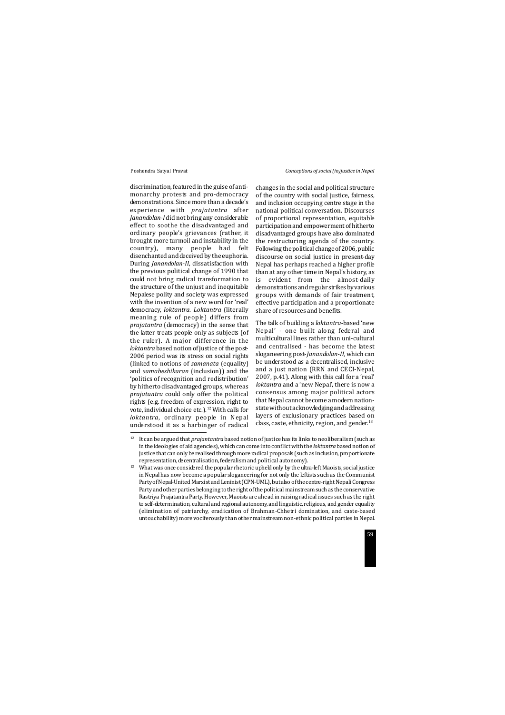discrimination, featured in the guise of antimonarchy protests and pro-democracy demonstrations. Since more than a decade's experience with *prajatantra* after *Janandolan-I* did not bring any considerable effect to soothe the disadvantaged and ordinary people's grievances (rather, it brought more turmoil and instability in the country), many people had felt disenchanted and deceived by the euphoria. During *Janandolan-II*, dissatisfaction with the previous political change of 1990 that could not bring radical transformation to the structure of the unjust and inequitable Nepalese polity and society was expressed with the invention of a new word for 'real' democracy, *loktantra*. *Loktantra* (literally meaning rule of people) differs from *prajatantra* (democracy) in the sense that the latter treats people only as subjects (of the ruler). A major difference in the *loktantra* based notion of justice of the post-2006 period was its stress on social rights (linked to notions of *samanata* (equality) and *samabeshikaran* (inclusion)) and the 'politics of recognition and redistribution' by hitherto disadvantaged groups, whereas *prajatantra* could only offer the political rights (e.g. freedom of expression, right to vote, individual choice etc.).<sup>12</sup> With calls for *loktantra*, ordinary people in Nepal understood it as a harbinger of radical

The talk of building a *loktantra-*based 'new Nepal' - one built along federal and multicultural lines rather than uni-cultural and centralised - has become the latest sloganeering post-*Janandolan-II,* which can be understood as a decentralised, inclusive and a just nation (RRN and CECI-Nepal, 2007, p.41). Along with this call for a 'real' *loktantra* and a 'new Nepal', there is now a consensus among major political actors that Nepal cannot become a modern nationstate without acknowledging and addressing layers of exclusionary practices based on class, caste, ethnicity, region, and gender. $13$ 

changes in the social and political structure of the country with social justice, fairness, and inclusion occupying centre stage in the national political conversation. Discourses of proportional representation, equitable participation and empowerment of hitherto disadvantaged groups have also dominated the restructuring agenda of the country. Following the political change of 2006, public discourse on social justice in present-day Nepal has perhaps reached a higher profile than at any other time in Nepal's history, as is evident from the almost-daily demonstrations and regular strikes by various groups with demands of fair treatment, effective participation and a proportionate share of resources and benefits.

<sup>&</sup>lt;sup>12</sup> It can be argued that *prajantantra* based notion of justice has its links to neoliberalism (such as in the ideologies of aid agencies), which can come into conflict with the *loktantra* based notion of justice that can only be realised through more radical proposals (such as inclusion, proportionate representation, decentralisation, federalism and political autonomy).

<sup>&</sup>lt;sup>13</sup> What was once considered the popular rhetoric upheld only by the ultra-left Maoists, social justice in Nepal has now become a popular sloganeering for not only the leftists such as the Communist Party of Nepal-United Marxist and Leninist (CPN-UML), but also of the centre-right Nepali Congress Party and other parties belonging to the right of the political mainstream such as the conservative Rastriya Prajatantra Party. However, Maoists are ahead in raising radical issues such as the right to self-determination, cultural and regional autonomy, and linguistic, religious, and gender equality (elimination of patriarchy, eradication of Brahman-Chhetri domination, and caste-based untouchability) more vociferously than other mainstream non-ethnic political parties in Nepal.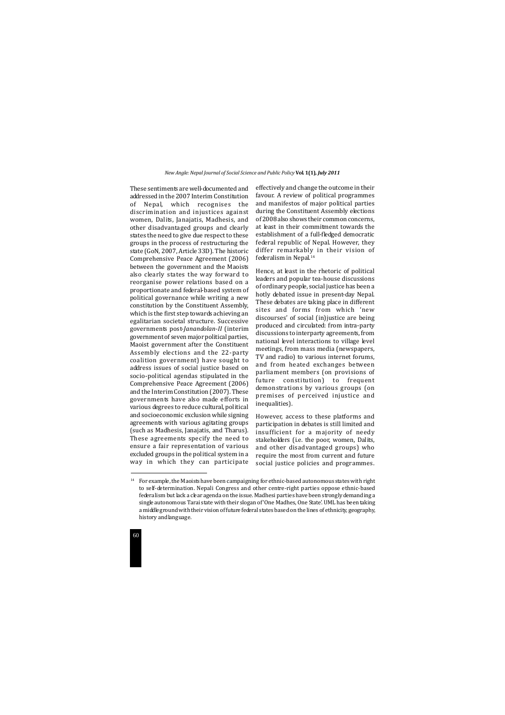

These sentiments are well-documented and addressed in the 2007 Interim Constitution of Nepal, which recognises the discrimination and injustices against women, Dalits, Janajatis, Madhesis, and other disadvantaged groups and clearly states the need to give due respect to these groups in the process of restructuring the state (GoN, 2007, Article 33D). The historic Comprehensive Peace Agreement (2006) between the government and the Maoists also clearly states the way forward to reorganise power relations based on a proportionate and federal-based system of political governance while writing a new constitution by the Constituent Assembly, which is the first step towards achieving an egalitarian societal structure. Successive governments post-*Janandolan-II* (interim government of seven major political parties, Maoist government after the Constituent Assembly elections and the 22-party coalition government) have sought to address issues of social justice based on socio-political agendas stipulated in the Comprehensive Peace Agreement (2006) and the Interim Constitution (2007). These governments have also made efforts in various degrees to reduce cultural, political and socioeconomic exclusion while signing agreements with various agitating groups (such as Madhesis, Janajatis, and Tharus). These agreements specify the need to ensure a fair representation of various excluded groups in the political system in a way in which they can participate

effectively and change the outcome in their favour. A review of political programmes and manifestos of major political parties during the Constituent Assembly elections of 2008 also shows their common concerns, at least in their commitment towards the establishment of a full-fledged democratic federal republic of Nepal. However, they differ remarkably in their vision of federalism in Nepal.14

Hence, at least in the rhetoric of political leaders and popular tea-house discussions of ordinary people, social justice has been a hotly debated issue in present-day Nepal. These debates are taking place in different sites and forms from which 'new discourses' of social (in)justice are being produced and circulated: from intra-party discussions to interparty agreements, from national level interactions to village level meetings, from mass media (newspapers, TV and radio) to various internet forums, and from heated exchanges between parliament members (on provisions of future constitution) to frequent demonstrations by various groups (on premises of perceived injustice and inequalities).

However, access to these platforms and participation in debates is still limited and insufficient for a majority of needy stakeholders (i.e. the poor, women, Dalits, and other disadvantaged groups) who require the most from current and future social justice policies and programmes.

 $14$  For example, the Maoists have been campaigning for ethnic-based autonomous states with right to self-determination. Nepali Congress and other centre-right parties oppose ethnic-based federalism but lack a clear agenda on the issue. Madhesi parties have been strongly demanding a single autonomous Tarai state with their slogan of 'One Madhes, One State'. UML has been taking a middle ground with their vision of future federal states based on the lines of ethnicity, geography, history and language.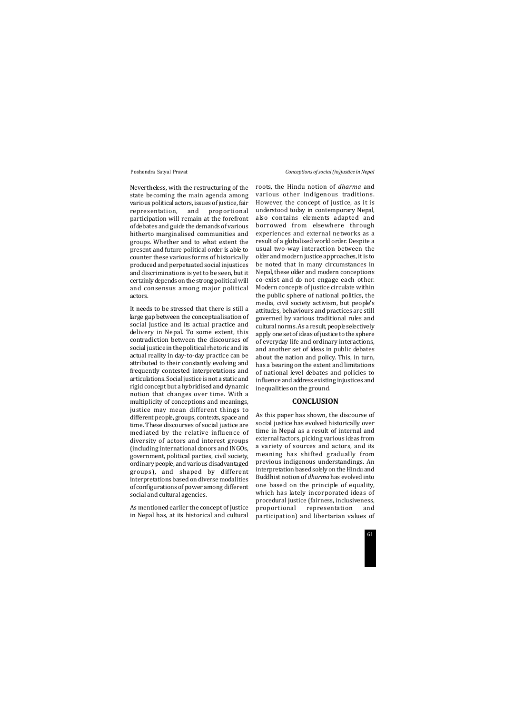Nevertheless, with the restructuring of the state becoming the main agenda among various political actors, issues of justice, fair representation, and proportional participation will remain at the forefront of debates and guide the demands of various hitherto marginalised communities and groups. Whether and to what extent the present and future political order is able to counter these various forms of historically produced and perpetuated social injustices and discriminations is yet to be seen, but it certainly depends on the strong political will and consensus among major political actors.

It needs to be stressed that there is still a large gap between the conceptualisation of social justice and its actual practice and delivery in Nepal. To some extent, this contradiction between the discourses of social justice in the political rhetoric and its actual reality in day-to-day practice can be attributed to their constantly evolving and frequently contested interpretations and articulations. Social justice is not a static and rigid concept but a hybridised and dynamic notion that changes over time. With a multiplicity of conceptions and meanings, justice may mean different things to different people, groups, contexts, space and time. These discourses of social justice are mediated by the relative influence of diversity of actors and interest groups (including international donors and INGOs, government, political parties, civil society, ordinary people, and various disadvantaged groups), and shaped by different interpretations based on diverse modalities of configurations of power among different social and cultural agencies.

As mentioned earlier the concept of justice in Nepal has, at its historical and cultural roots, the Hindu notion of *dharma* and various other indigenous traditions. However, the concept of justice, as it is understood today in contemporary Nepal, also contains elements adapted and borrowed from elsewhere through experiences and external networks as a result of a globalised world order. Despite a usual two-way interaction between the older and modern justice approaches, it is to be noted that in many circumstances in Nepal, these older and modern conceptions co-exist and do not engage each other. Modern concepts of justice circulate within the public sphere of national politics, the media, civil society activism, but people's attitudes, behaviours and practices are still governed by various traditional rules and cultural norms. As a result, people selectively apply one set of ideas of justice to the sphere of everyday life and ordinary interactions, and another set of ideas in public debates about the nation and policy. This, in turn, has a bearing on the extent and limitations of national level debates and policies to influence and address existing injustices and inequalities on the ground.

### **CONCLUSION**

As this paper has shown, the discourse of social justice has evolved historically over time in Nepal as a result of internal and external factors, picking various ideas from a variety of sources and actors, and its meaning has shifted gradually from previous indigenous understandings. An interpretation based solely on the Hindu and Buddhist notion of *dharma* has evolved into one based on the principle of equality, which has lately incorporated ideas of procedural justice (fairness, inclusiveness, proportional representation and participation) and libertarian values of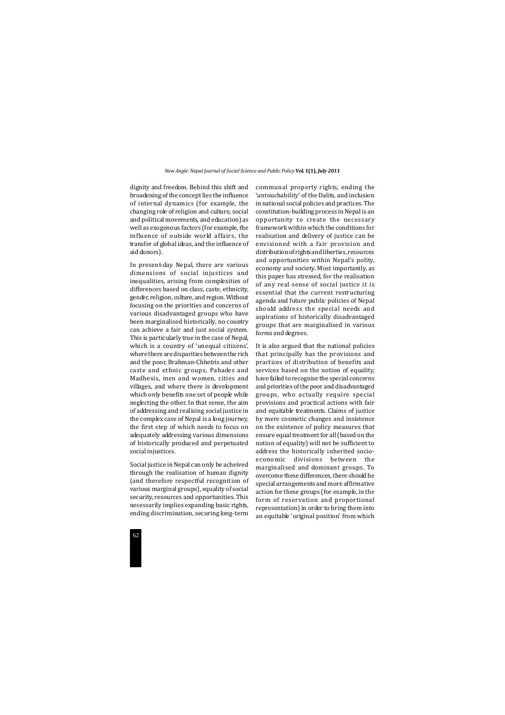

dignity and freedom. Behind this shift and broadening of the concept lies the influence of internal dynamics (for example, the changing role of religion and culture, social and political movements, and education) as well as exogenous factors (for example, the influence of outside world affairs, the transfer of global ideas, and the influence of aid donors).

In present-day Nepal, there are various dimensions of social injustices and inequalities, arising from complexities of differences based on class, caste, ethnicity, gender, religion, culture, and region. Without focusing on the priorities and concerns of various disadvantaged groups who have been marginalised historically, no country can achieve a fair and just social system. This is particularly true in the case of Nepal, which is a country of 'unequal citizens', where there are disparities between the rich and the poor, Brahman-Chhetris and other caste and ethnic groups, Pahades and Madhesis, men and women, cities and villages, and where there is development which only benefits one set of people while neglecting the other. In that sense, the aim of addressing and realising social justice in the complex case of Nepal is a long journey, the first step of which needs to focus on adequately addressing various dimensions of historically produced and perpetuated social injustices.

Social justice in Nepal can only be acheived through the realisation of human dignity (and therefore respectful recognition of various marginal groups), equality of social security, resources and opportunities. This necessarily implies expanding basic rights, ending discrimination, securing long-term communal property rights, ending the 'untouchability' of the Dalits, and inclusion in national social policies and practices. The constitution-building process in Nepal is an opportunity to create the necessary framework within which the conditions for realisation and delivery of justice can be envisioned with a fair provision and distribution of rights and liberties, resources and opportunities within Nepal's polity, economy and society. Most importantly, as this paper has stressed, for the realisation of any real sense of social justice it is essential that the current restructuring agenda and future public policies of Nepal should address the special needs and aspirations of historically disadvantaged groups that are marginalised in various forms and degrees.

It is also argued that the national policies that principally has the provisions and practices of distribution of benefits and services based on the notion of equality, have failed to recognise the special concerns and priorities of the poor and disadvantaged groups, who actually require special provisions and practical actions with fair and equitable treatments. Claims of justice by mere cosmetic changes and insistence on the existence of policy measures that ensure equal treatment for all (based on the notion of equality) will not be sufficient to address the historically inherited socioeconomic divisions between the marginalised and dominant groups. To overcome these differences, there should be special arrangements and more affirmative action for these groups (for example, in the form of reservation and proportional representation) in order to bring them into an equitable 'original position' from which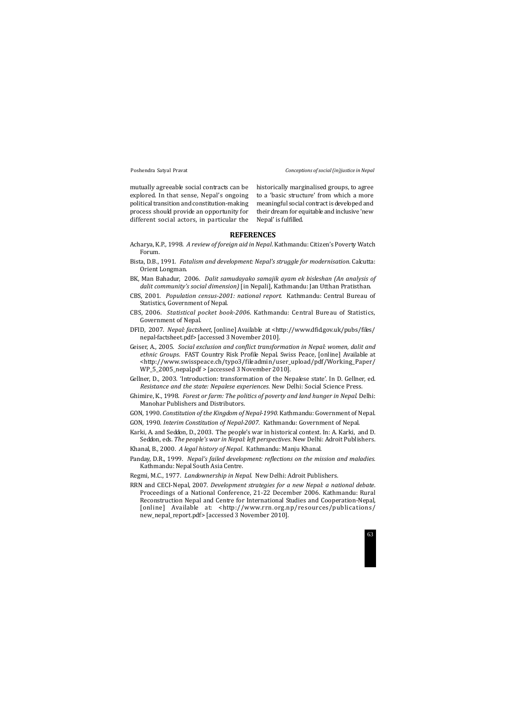historically marginalised groups, to agree to a 'basic structure' from which a more meaningful social contract is developed and their dream for equitable and inclusive 'new Nepal' is fulfilled.

mutually agreeable social contracts can be explored. In that sense, Nepal's ongoing political transition and constitution-making process should provide an opportunity for different social actors, in particular the

## **REFERENCES**

- Acharya, K.P., 1998. *A review of foreign aid in Nepal*. Kathmandu: Citizen's Poverty Watch Forum.
- Bista, D.B., 1991. *Fatalism and development: Nepal's struggle for modernisation.* Calcutta: Orient Longman.
- BK, Man Bahadur, 2006. *Dalit samudayako samajik ayam ek bisleshan (An analysis of dalit community's social dimension)* [in Nepali], Kathmandu: Jan Utthan Pratisthan.
- CBS, 2001. *Population census-2001: national report.* Kathmandu: Central Bureau of Statistics, Government of Nepal.
- CBS, 2006. *Statistical pocket book-2006*. Kathmandu: Central Bureau of Statistics, Government of Nepal.
- DFID, 2007. *Nepal: factsheet*, [online] Available at <http://www.dfid.gov.uk/pubs/files/ nepal-factsheet.pdf> [accessed 3 November 2010].
- Geiser, A., 2005. *Social exclusion and conflict transformation in Nepal: women, dalit and ethnic Groups*. FAST Country Risk Profile Nepal. Swiss Peace, [online] Available at <http://www.swisspeace.ch/typo3/fileadmin/user\_upload/pdf/Working\_Paper/ WP\_5\_2005\_nepal.pdf > [accessed 3 November 2010].
- Gellner, D., 2003. 'Introduction: transformation of the Nepalese state'. In D. Gellner, ed. *Resistance and the state: Nepalese experiences*. New Delhi: Social Science Press.
- Ghimire, K., 1998. *Forest or farm: The politics of poverty and land hunger in Nepal.* Delhi: Manohar Publishers and Distributors.
- GON, 1990. *Constitution of the Kingdom of Nepal-1990.* Kathmandu: Government of Nepal.
- GON, 1990. *Interim Constitution of Nepal-2007*. Kathmandu: Government of Nepal.
- Karki, A. and Seddon, D., 2003. The people's war in historical context. In: A. Karki, and D. Seddon, eds. *The people's war in Nepal: left perspectives*. New Delhi: Adroit Publishers.
- Khanal, B., 2000. *A legal history of Nepal*. Kathmandu: Manju Khanal.
- Panday, D.R., 1999. *Nepal's failed development: reflections on the mission and maladies.* Kathmandu: Nepal South Asia Centre.
- Regmi, M.C., 1977. *Landownership in Nepal*. New Delhi: Adroit Publishers.
- RRN and CECI-Nepal, 2007. *Development strategies for a new Nepal: a national debate*. Proceedings of a National Conference, 21-22 December 2006. Kathmandu: Rural Reconstruction Nepal and Centre for International Studies and Cooperation-Nepal, [online] Available at: <http://www.rrn.org.np/resources/publications/ new\_nepal\_report.pdf> [accessed 3 November 2010].